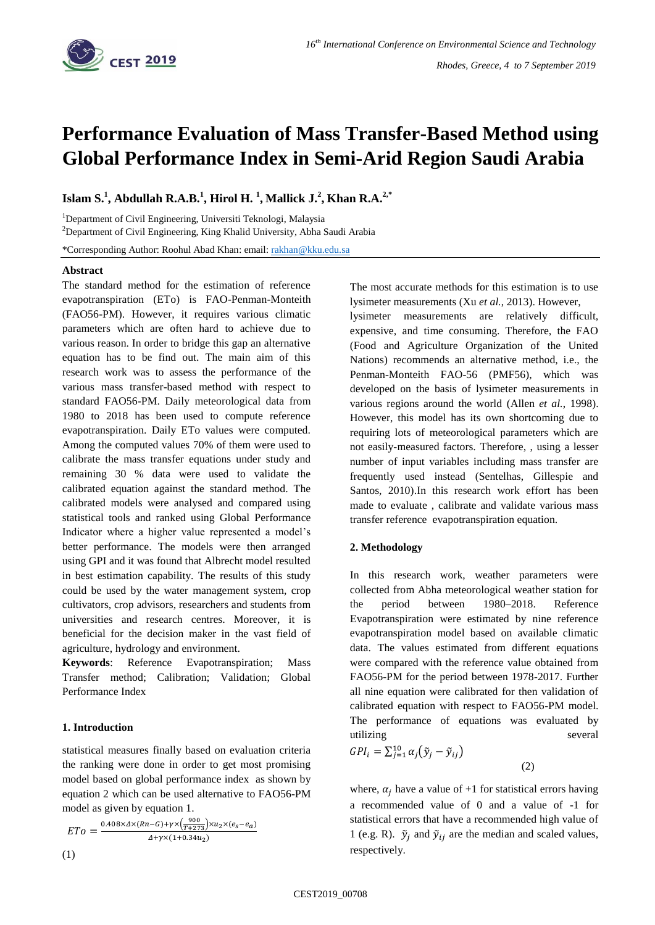

# *Rhodes, Greece, 4 to 7 September 2019*

# **Performance Evaluation of Mass Transfer-Based Method using Global Performance Index in Semi-Arid Region Saudi Arabia**

**Islam S.<sup>1</sup> , Abdullah R.A.B.<sup>1</sup> , Hirol H. <sup>1</sup> , Mallick J. 2 , Khan R.A. 2,\***

<sup>1</sup>Department of Civil Engineering, Universiti Teknologi, Malaysia

<sup>2</sup>Department of Civil Engineering, King Khalid University, Abha Saudi Arabia

\*Corresponding Author: Roohul Abad Khan: email[: rakhan@kku.edu.sa](mailto:rakhan@kku.edu.sa)

## **Abstract**

The standard method for the estimation of reference evapotranspiration (ETo) is FAO-Penman-Monteith (FAO56-PM). However, it requires various climatic parameters which are often hard to achieve due to various reason. In order to bridge this gap an alternative equation has to be find out. The main aim of this research work was to assess the performance of the various mass transfer-based method with respect to standard FAO56-PM. Daily meteorological data from 1980 to 2018 has been used to compute reference evapotranspiration. Daily ETo values were computed. Among the computed values 70% of them were used to calibrate the mass transfer equations under study and remaining 30 % data were used to validate the calibrated equation against the standard method. The calibrated models were analysed and compared using statistical tools and ranked using Global Performance Indicator where a higher value represented a model's better performance. The models were then arranged using GPI and it was found that Albrecht model resulted in best estimation capability. The results of this study could be used by the water management system, crop cultivators, crop advisors, researchers and students from universities and research centres. Moreover, it is beneficial for the decision maker in the vast field of agriculture, hydrology and environment.

**Keywords**: Reference Evapotranspiration; Mass Transfer method; Calibration; Validation; Global Performance Index

## **1. Introduction**

statistical measures finally based on evaluation criteria the ranking were done in order to get most promising model based on global performance index as shown by equation 2 which can be used alternative to FAO56-PM model as given by equation 1.

$$
ETo = \frac{0.408 \times \Delta \times (Rn - G) + \gamma \times (\frac{900}{T + 273}) \times u_2 \times (e_S - e_a)}{4 + \gamma \times (1 + 0.34u_2)}
$$
\n(1)

The most accurate methods for this estimation is to use lysimeter measurements (Xu *et al.*, 2013). However,

lysimeter measurements are relatively difficult, expensive, and time consuming. Therefore, the FAO (Food and Agriculture Organization of the United Nations) recommends an alternative method, i.e., the Penman-Monteith FAO-56 (PMF56), which was developed on the basis of lysimeter measurements in various regions around the world (Allen *et al.*, 1998). However, this model has its own shortcoming due to requiring lots of meteorological parameters which are not easily-measured factors. Therefore, , using a lesser number of input variables including mass transfer are frequently used instead (Sentelhas, Gillespie and Santos, 2010).In this research work effort has been made to evaluate , calibrate and validate various mass transfer reference evapotranspiration equation.

## **2. Methodology**

In this research work, weather parameters were collected from Abha meteorological weather station for the period between 1980–2018. Reference Evapotranspiration were estimated by nine reference evapotranspiration model based on available climatic data. The values estimated from different equations were compared with the reference value obtained from FAO56-PM for the period between 1978-2017. Further all nine equation were calibrated for then validation of calibrated equation with respect to FAO56-PM model. The performance of equations was evaluated by utilizing several

$$
GPI_i = \sum_{j=1}^{10} \alpha_j (\tilde{y}_j - \tilde{y}_{ij})
$$
\n(2)

where,  $\alpha_i$  have a value of +1 for statistical errors having a recommended value of 0 and a value of -1 for statistical errors that have a recommended high value of 1 (e.g. R).  $\tilde{y}_i$  and  $\tilde{y}_{ij}$  are the median and scaled values, respectively.